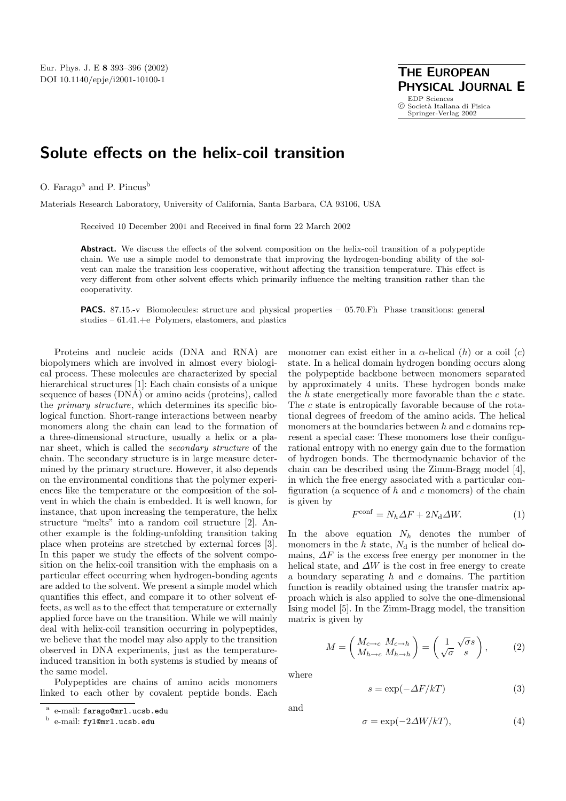## **Solute effects on the helix-coil transition**

O. Farago<sup>a</sup> and P. Pincus<sup>b</sup>

Materials Research Laboratory, University of California, Santa Barbara, CA 93106, USA

Received 10 December 2001 and Received in final form 22 March 2002

**Abstract.** We discuss the effects of the solvent composition on the helix-coil transition of a polypeptide chain. We use a simple model to demonstrate that improving the hydrogen-bonding ability of the solvent can make the transition less cooperative, without affecting the transition temperature. This effect is very different from other solvent effects which primarily influence the melting transition rather than the cooperativity.

**PACS.** 87.15.-v Biomolecules: structure and physical properties – 05.70.Fh Phase transitions: general studies  $-61.41.+e$  Polymers, elastomers, and plastics

Proteins and nucleic acids (DNA and RNA) are biopolymers which are involved in almost every biological process. These molecules are characterized by special hierarchical structures [1]: Each chain consists of a unique sequence of bases (DNA) or amino acids (proteins), called the primary structure, which determines its specific biological function. Short-range interactions between nearby monomers along the chain can lead to the formation of a three-dimensional structure, usually a helix or a planar sheet, which is called the secondary structure of the chain. The secondary structure is in large measure determined by the primary structure. However, it also depends on the environmental conditions that the polymer experiences like the temperature or the composition of the solvent in which the chain is embedded. It is well known, for instance, that upon increasing the temperature, the helix structure "melts" into a random coil structure [2]. Another example is the folding-unfolding transition taking place when proteins are stretched by external forces [3]. In this paper we study the effects of the solvent composition on the helix-coil transition with the emphasis on a particular effect occurring when hydrogen-bonding agents are added to the solvent. We present a simple model which quantifies this effect, and compare it to other solvent effects, as well as to the effect that temperature or externally applied force have on the transition. While we will mainly deal with helix-coil transition occurring in polypeptides, we believe that the model may also apply to the transition observed in DNA experiments, just as the temperatureinduced transition in both systems is studied by means of the same model.

Polypeptides are chains of amino acids monomers linked to each other by covalent peptide bonds. Each monomer can exist either in a  $\alpha$ -helical (h) or a coil (c) state. In a helical domain hydrogen bonding occurs along the polypeptide backbone between monomers separated by approximately 4 units. These hydrogen bonds make the  $h$  state energetically more favorable than the  $c$  state. The c state is entropically favorable because of the rotational degrees of freedom of the amino acids. The helical monomers at the boundaries between  $h$  and  $c$  domains represent a special case: These monomers lose their configurational entropy with no energy gain due to the formation of hydrogen bonds. The thermodynamic behavior of the chain can be described using the Zimm-Bragg model [4], in which the free energy associated with a particular configuration (a sequence of  $h$  and  $c$  monomers) of the chain is given by

$$
F^{\text{conf}} = N_h \Delta F + 2N_d \Delta W. \tag{1}
$$

In the above equation  $N_h$  denotes the number of monomers in the  $h$  state,  $N_d$  is the number of helical domains,  $\Delta F$  is the excess free energy per monomer in the helical state, and  $\Delta W$  is the cost in free energy to create a boundary separating  $h$  and  $c$  domains. The partition function is readily obtained using the transfer matrix approach which is also applied to solve the one-dimensional Ising model [5]. In the Zimm-Bragg model, the transition matrix is given by

$$
M = \begin{pmatrix} M_{c \to c} & M_{c \to h} \\ M_{h \to c} & M_{h \to h} \end{pmatrix} = \begin{pmatrix} 1 & \sqrt{\sigma}s \\ \sqrt{\sigma} & s \end{pmatrix},
$$
 (2)

where

$$
s = \exp(-\Delta F/kT) \tag{3}
$$

and

$$
\sigma = \exp(-2\Delta W/kT),\tag{4}
$$

e-mail: farago@mrl.ucsb.edu

<sup>b</sup> e-mail: fyl@mrl.ucsb.edu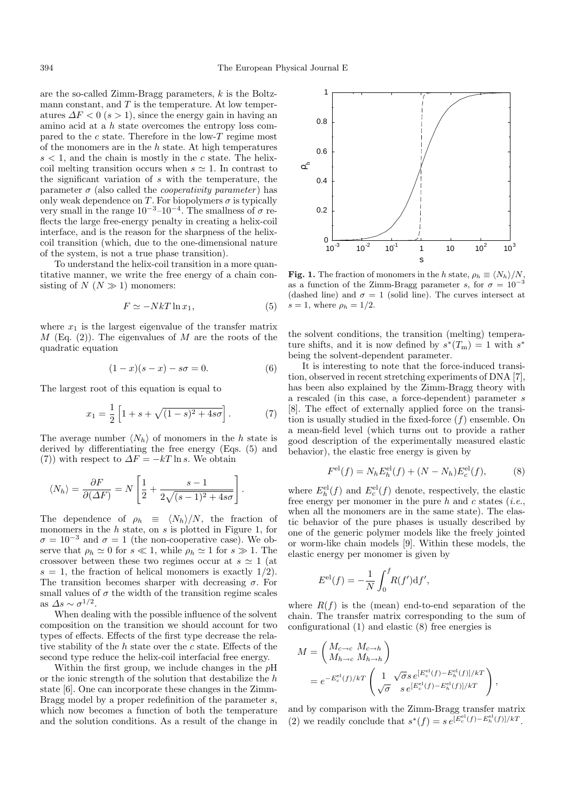are the so-called Zimm-Bragg parameters, k is the Boltzmann constant, and  $T$  is the temperature. At low temperatures  $\Delta F < 0$  (s > 1), since the energy gain in having an amino acid at a h state overcomes the entropy loss compared to the c state. Therefore in the low-T regime most of the monomers are in the  $h$  state. At high temperatures  $s < 1$ , and the chain is mostly in the c state. The helixcoil melting transition occurs when  $s \simeq 1$ . In contrast to the significant variation of s with the temperature, the parameter  $\sigma$  (also called the *cooperativity parameter*) has only weak dependence on T. For biopolymers  $\sigma$  is typically very small in the range  $10^{-3}$ – $10^{-4}$ . The smallness of  $\sigma$  reflects the large free-energy penalty in creating a helix-coil interface, and is the reason for the sharpness of the helixcoil transition (which, due to the one-dimensional nature of the system, is not a true phase transition).

To understand the helix-coil transition in a more quantitative manner, we write the free energy of a chain consisting of  $N (N \gg 1)$  monomers:

$$
F \simeq -NkT \ln x_1,\tag{5}
$$

where  $x_1$  is the largest eigenvalue of the transfer matrix  $M$  (Eq. (2)). The eigenvalues of  $M$  are the roots of the quadratic equation

$$
(1 - x)(s - x) - s\sigma = 0.
$$
 (6)

.

The largest root of this equation is equal to

$$
x_1 = \frac{1}{2} \left[ 1 + s + \sqrt{(1 - s)^2 + 4s\sigma} \right].
$$
 (7)

The average number  $\langle N_h \rangle$  of monomers in the h state is derived by differentiating the free energy (Eqs. (5) and (7)) with respect to  $\Delta F = -kT \ln s$ . We obtain

$$
\langle N_h \rangle = \frac{\partial F}{\partial (\Delta F)} = N \left[ \frac{1}{2} + \frac{s - 1}{2\sqrt{(s - 1)^2 + 4s\sigma}} \right]
$$

The dependence of  $\rho_h \equiv \langle N_h \rangle / N$ , the fraction of monomers in the  $h$  state, on  $s$  is plotted in Figure 1, for  $\sigma = 10^{-3}$  and  $\sigma = 1$  (the non-cooperative case). We observe that  $\rho_h \simeq 0$  for  $s \ll 1$ , while  $\rho_h \simeq 1$  for  $s \gg 1$ . The crossover between these two regimes occur at  $s \simeq 1$  (at  $s = 1$ , the fraction of helical monomers is exactly  $1/2$ ). The transition becomes sharper with decreasing  $\sigma$ . For small values of  $\sigma$  the width of the transition regime scales as  $\Delta s \sim \sigma^{1/2}$ .

When dealing with the possible influence of the solvent composition on the transition we should account for two types of effects. Effects of the first type decrease the relative stability of the  $h$  state over the  $c$  state. Effects of the second type reduce the helix-coil interfacial free energy.

Within the first group, we include changes in the  $p$ H or the ionic strength of the solution that destabilize the  $h$ state [6]. One can incorporate these changes in the Zimm-Bragg model by a proper redefinition of the parameter s, which now becomes a function of both the temperature and the solution conditions. As a result of the change in



**Fig. 1.** The fraction of monomers in the h state,  $\rho_h \equiv \langle N_h \rangle / N$ , as a function of the Zimm-Bragg parameter s for  $\sigma = 10^{-3}$ as a function of the Zimm-Bragg parameter s, for  $\sigma = 10^{-3}$ (dashed line) and  $\sigma = 1$  (solid line). The curves intersect at  $s = 1$ , where  $\rho_h = 1/2$ .

the solvent conditions, the transition (melting) temperature shifts, and it is now defined by  $s^*(T_m) = 1$  with  $s^*$ being the solvent-dependent parameter.

It is interesting to note that the force-induced transition, observed in recent stretching experiments of DNA [7], has been also explained by the Zimm-Bragg theory with a rescaled (in this case, a force-dependent) parameter s [8]. The effect of externally applied force on the transition is usually studied in the fixed-force  $(f)$  ensemble. On a mean-field level (which turns out to provide a rather good description of the experimentally measured elastic behavior), the elastic free energy is given by

$$
F^{\text{el}}(f) = N_h E_h^{\text{el}}(f) + (N - N_h) E_c^{\text{el}}(f), \tag{8}
$$

where  $E_h^{\text{el}}(f)$  and  $E_c^{\text{el}}(f)$  denote, respectively, the elastic free energy per monomer in the pure h and c states (*i.e.*, when all the monomers are in the same state). The elastic behavior of the pure phases is usually described by one of the generic polymer models like the freely jointed or worm-like chain models [9]. Within these models, the elastic energy per monomer is given by

$$
E^{\text{el}}(f) = -\frac{1}{N} \int_0^f R(f') \text{d}f',
$$

where  $R(f)$  is the (mean) end-to-end separation of the chain. The transfer matrix corresponding to the sum of configurational (1) and elastic (8) free energies is

$$
M = \begin{pmatrix} M_{c \to c} & M_{c \to h} \\ M_{h \to c} & M_{h \to h} \end{pmatrix}
$$
  
=  $e^{-E_c^{\text{el}}(f)/kT} \begin{pmatrix} 1 & \sqrt{\sigma} s e^{[E_c^{\text{el}}(f) - E_h^{\text{el}}(f)]/kT} \\ \sqrt{\sigma} & s e^{[E_c^{\text{el}}(f) - E_h^{\text{el}}(f)]/kT} \end{pmatrix}$ ,

and by comparison with the Zimm-Bragg transfer matrix (2) we readily conclude that  $s^*(f) = s e^{[E_c^{\text{el}}(f) - E_h^{\text{el}}(f)]/kT}$ .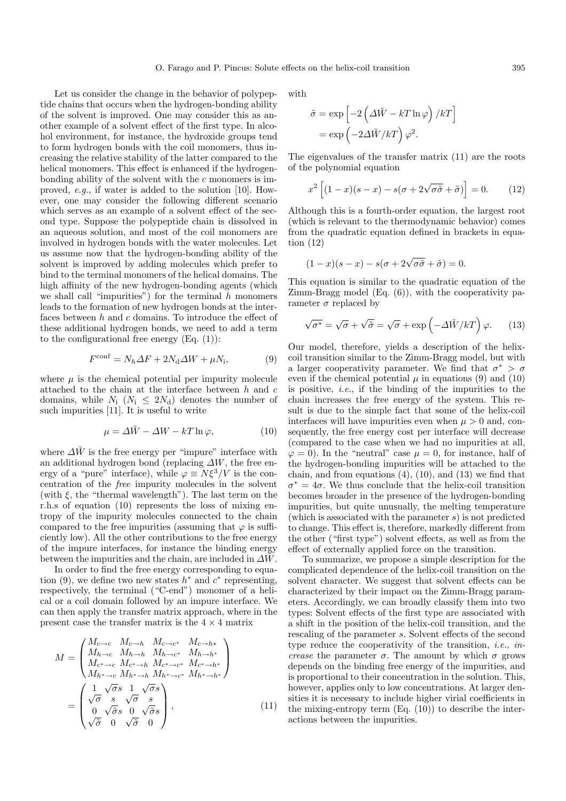Let us consider the change in the behavior of polypeptide chains that occurs when the hydrogen-bonding ability of the solvent is improved. One may consider this as another example of a solvent effect of the first type. In alcohol environment, for instance, the hydroxide groups tend to form hydrogen bonds with the coil monomers, thus increasing the relative stability of the latter compared to the helical monomers. This effect is enhanced if the hydrogenbonding ability of the solvent with the c monomers is improved, e.g., if water is added to the solution [10]. However, one may consider the following different scenario which serves as an example of a solvent effect of the second type. Suppose the polypeptide chain is dissolved in an aqueous solution, and most of the coil monomers are involved in hydrogen bonds with the water molecules. Let us assume now that the hydrogen-bonding ability of the solvent is improved by adding molecules which prefer to bind to the terminal monomers of the helical domains. The high affinity of the new hydrogen-bonding agents (which we shall call "impurities") for the terminal  $h$  monomers leads to the formation of new hydrogen bonds at the interfaces between h and c domains. To introduce the effect of these additional hydrogen bonds, we need to add a term to the configurational free energy  $(Eq. (1))$ :

$$
F^{\text{conf}} = N_h \Delta F + 2N_d \Delta W + \mu N_i, \qquad (9)
$$

where  $\mu$  is the chemical potential per impurity molecule attached to the chain at the interface between h and c domains, while  $N_i$  ( $N_i \leq 2N_d$ ) denotes the number of such impurities [11]. It is useful to write

$$
\mu = \Delta \tilde{W} - \Delta W - kT \ln \varphi, \qquad (10)
$$

where  $\Delta \tilde{W}$  is the free energy per "impure" interface with an additional hydrogen bond (replacing  $\Delta W$ , the free energy of a "pure" interface), while  $\varphi \equiv N\xi^3/V$  is the concentration of the free impurity molecules in the solvent (with  $\xi$ , the "thermal wavelength"). The last term on the r.h.s of equation (10) represents the loss of mixing entropy of the impurity molecules connected to the chain compared to the free impurities (assuming that  $\varphi$  is sufficiently low). All the other contributions to the free energy of the impure interfaces, for instance the binding energy between the impurities and the chain, are included in  $\Delta W$ .

In order to find the free energy corresponding to equation (9), we define two new states  $h^*$  and  $c^*$  representing, respectively, the terminal ("C-end") monomer of a helical or a coil domain followed by an impure interface. We can then apply the transfer matrix approach, where in the present case the transfer matrix is the  $4 \times 4$  matrix

$$
M = \begin{pmatrix} M_{c \to c} & M_{c \to h} & M_{c \to c^*} & M_{c \to h*} \\ M_{h \to c} & M_{h \to h} & M_{h \to c^*} & M_{h \to h^*} \\ M_{c^* \to c} & M_{c^* \to h} & M_{c^* \to c^*} & M_{c^* \to h^*} \\ M_{h^* \to c} & M_{h^* \to h} & M_{h^* \to c^*} & M_{h^* \to h^*} \end{pmatrix}
$$

$$
= \begin{pmatrix} 1 & \sqrt{\sigma}s & 1 & \sqrt{\sigma}s \\ \sqrt{\sigma} & s & \sqrt{\sigma} & s \\ 0 & \sqrt{\sigma}s & 0 & \sqrt{\sigma}s \\ \sqrt{\sigma} & 0 & \sqrt{\sigma} & 0 \end{pmatrix}, \tag{11}
$$

with

$$
\tilde{\sigma} = \exp\left[-2\left(\Delta \tilde{W} - kT \ln \varphi\right)/kT\right]
$$

$$
= \exp\left(-2\Delta \tilde{W}/kT\right)\varphi^2.
$$

The eigenvalues of the transfer matrix (11) are the roots of the polynomial equation

$$
x^{2}\left[(1-x)(s-x)-s(\sigma+2\sqrt{\sigma\tilde{\sigma}}+\tilde{\sigma})\right]=0.
$$
 (12)

Although this is a fourth-order equation, the largest root (which is relevant to the thermodynamic behavior) comes from the quadratic equation defined in brackets in equation (12)

$$
(1-x)(s-x) - s(\sigma + 2\sqrt{\sigma \tilde{\sigma}} + \tilde{\sigma}) = 0.
$$

This equation is similar to the quadratic equation of the Zimm-Bragg model (Eq. (6)), with the cooperativity parameter  $\sigma$  replaced by

$$
\sqrt{\sigma^*} = \sqrt{\sigma} + \sqrt{\tilde{\sigma}} = \sqrt{\sigma} + \exp\left(-\Delta \tilde{W}/kT\right)\varphi. \qquad (13)
$$

Our model, therefore, yields a description of the helixcoil transition similar to the Zimm-Bragg model, but with a larger cooperativity parameter. We find that  $\sigma^* > \sigma$ even if the chemical potential  $\mu$  in equations (9) and (10) is positive, *i.e.*, if the binding of the impurities to the chain increases the free energy of the system. This result is due to the simple fact that some of the helix-coil interfaces will have impurities even when  $\mu > 0$  and, consequently, the free energy cost per interface will decrease (compared to the case when we had no impurities at all,  $\varphi = 0$ ). In the "neutral" case  $\mu = 0$ , for instance, half of the hydrogen-bonding impurities will be attached to the chain, and from equations  $(4)$ ,  $(10)$ , and  $(13)$  we find that  $\sigma^* = 4\sigma$ . We thus conclude that the helix-coil transition becomes broader in the presence of the hydrogen-bonding impurities, but quite unusually, the melting temperature (which is associated with the parameter  $s$ ) is not predicted to change. This effect is, therefore, markedly different from the other ("first type") solvent effects, as well as from the effect of externally applied force on the transition.

To summarize, we propose a simple description for the complicated dependence of the helix-coil transition on the solvent character. We suggest that solvent effects can be characterized by their impact on the Zimm-Bragg parameters. Accordingly, we can broadly classify them into two types: Solvent effects of the first type are associated with a shift in the position of the helix-coil transition, and the rescaling of the parameter s. Solvent effects of the second type reduce the cooperativity of the transition, i.e., increase the parameter  $\sigma$ . The amount by which  $\sigma$  grows depends on the binding free energy of the impurities, and is proportional to their concentration in the solution. This, however, applies only to low concentrations. At larger densities it is necessary to include higher virial coefficients in the mixing-entropy term  $(Eq. (10))$  to describe the interactions between the impurities.